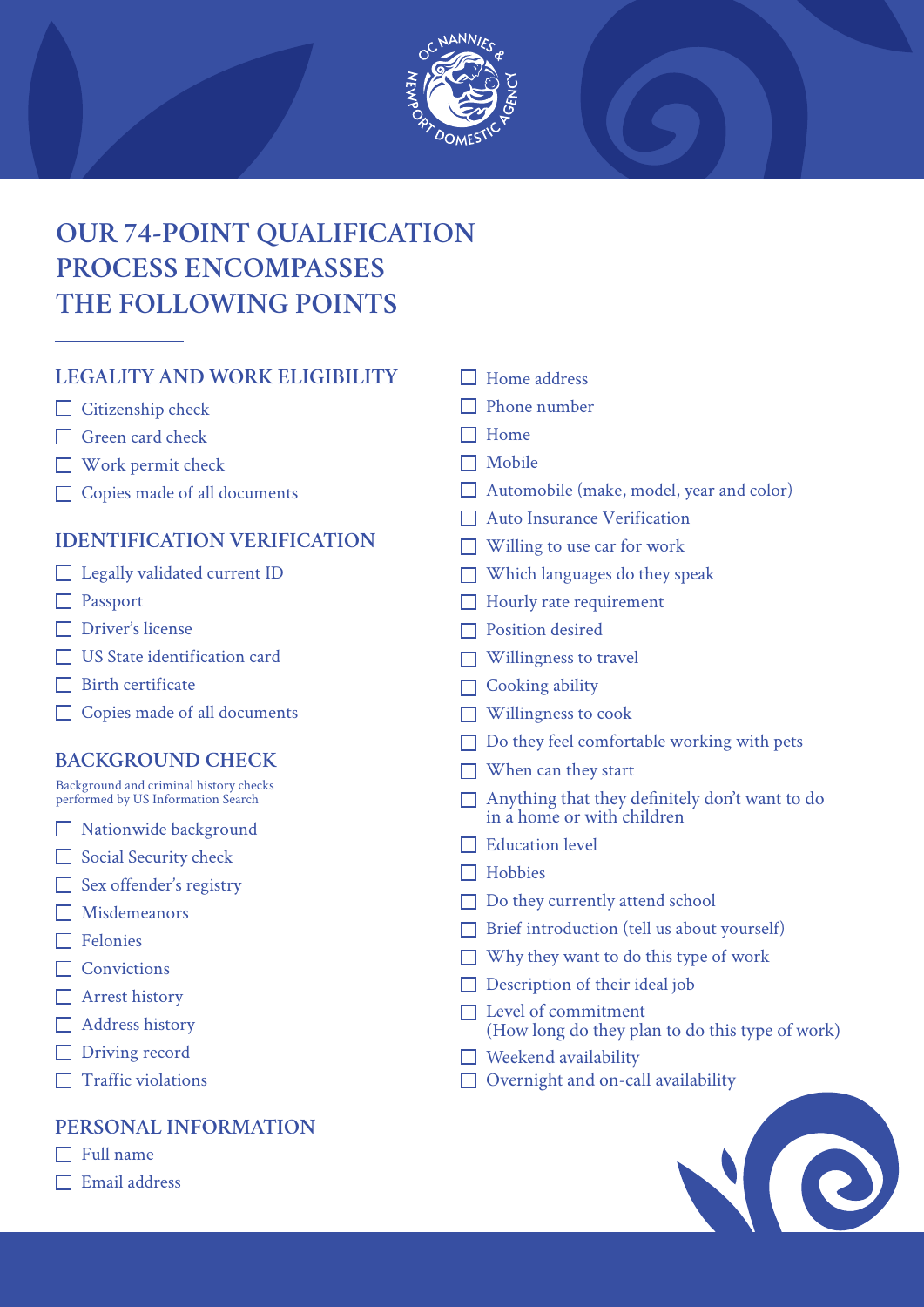

# **OUR 74-POINT QUALIFICATION PROCESS ENCOMPASSES THE FOLLOWING POINTS**

# **LEGALITY AND WORK ELIGIBILITY**

- $\Box$  Citizenship check
- Green card check
- Work permit check
- □ Copies made of all documents

# **IDENTIFICATION VERIFICATION**

- Legally validated current ID
- **Passport**
- □ Driver's license
- US State identification card
- $\Box$  Birth certificate
- □ Copies made of all documents

# **BACKGROUND CHECK**

Background and criminal history checks performed by US Information Search

- Nationwide background
- Social Security check
- $\Box$  Sex offender's registry
- Misdemeanors
- $\Box$  Felonies
- □ Convictions
- Arrest history
- Address history
- Driving record
- $\Box$  Traffic violations

### **PERSONAL INFORMATION**

- $\Box$  Full name
- $\Box$  Email address
- $\Box$  Home address
- $\Box$  Phone number
- $\Box$  Home
- $\Box$  Mobile
- Automobile (make, model, year and color)
- Auto Insurance Verification
- $\Box$  Willing to use car for work
- $\Box$  Which languages do they speak
- $\Box$  Hourly rate requirement
- $\Box$  Position desired
- $\Box$  Willingness to travel
- $\Box$  Cooking ability
- **Willingness to cook**
- $\Box$  Do they feel comfortable working with pets
- $\Box$  When can they start
- Anything that they definitely don't want to do in a home or with children
- $\Box$  Education level
- $\Box$  Hobbies
- □ Do they currently attend school
- $\Box$  Brief introduction (tell us about yourself)
- Why they want to do this type of work
- $\Box$  Description of their ideal job
- $\square$  Level of commitment (How long do they plan to do this type of work)
- $\Box$  Weekend availability
- Overnight and on-call availability